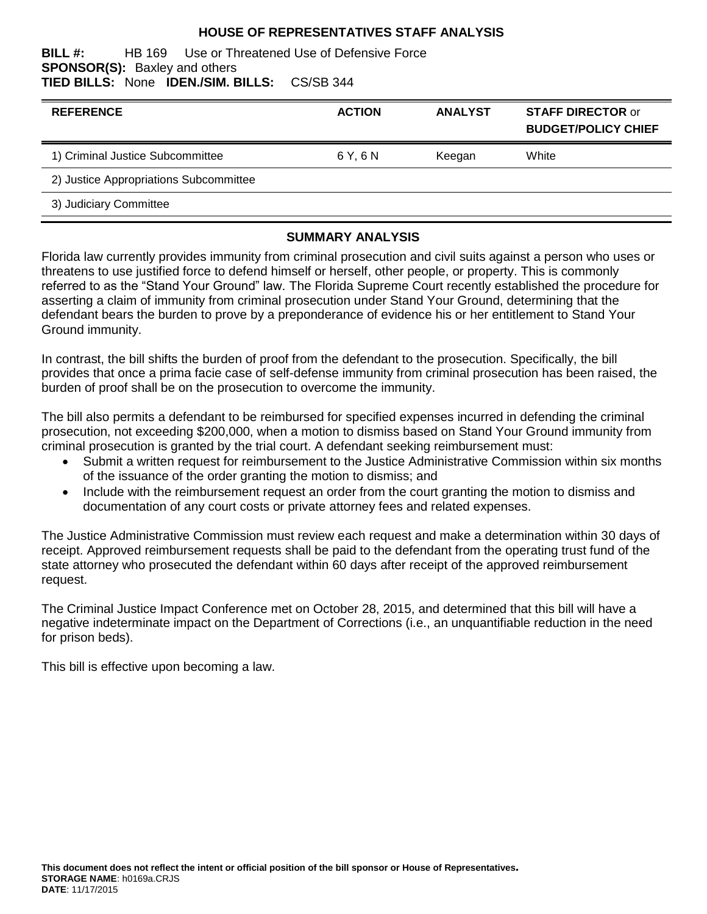## **HOUSE OF REPRESENTATIVES STAFF ANALYSIS**

#### **BILL #:** HB 169 Use or Threatened Use of Defensive Force **SPONSOR(S):** Baxley and others **TIED BILLS:** None **IDEN./SIM. BILLS:** CS/SB 344

| <b>REFERENCE</b>                       | <b>ACTION</b> | <b>ANALYST</b> | <b>STAFF DIRECTOR or</b><br><b>BUDGET/POLICY CHIEF</b> |
|----------------------------------------|---------------|----------------|--------------------------------------------------------|
| 1) Criminal Justice Subcommittee       | 6 Y. 6 N      | Keegan         | White                                                  |
| 2) Justice Appropriations Subcommittee |               |                |                                                        |
| 3) Judiciary Committee                 |               |                |                                                        |

#### **SUMMARY ANALYSIS**

Florida law currently provides immunity from criminal prosecution and civil suits against a person who uses or threatens to use justified force to defend himself or herself, other people, or property. This is commonly referred to as the "Stand Your Ground" law. The Florida Supreme Court recently established the procedure for asserting a claim of immunity from criminal prosecution under Stand Your Ground, determining that the defendant bears the burden to prove by a preponderance of evidence his or her entitlement to Stand Your Ground immunity.

In contrast, the bill shifts the burden of proof from the defendant to the prosecution. Specifically, the bill provides that once a prima facie case of self-defense immunity from criminal prosecution has been raised, the burden of proof shall be on the prosecution to overcome the immunity.

The bill also permits a defendant to be reimbursed for specified expenses incurred in defending the criminal prosecution, not exceeding \$200,000, when a motion to dismiss based on Stand Your Ground immunity from criminal prosecution is granted by the trial court. A defendant seeking reimbursement must:

- Submit a written request for reimbursement to the Justice Administrative Commission within six months of the issuance of the order granting the motion to dismiss; and
- Include with the reimbursement request an order from the court granting the motion to dismiss and documentation of any court costs or private attorney fees and related expenses.

The Justice Administrative Commission must review each request and make a determination within 30 days of receipt. Approved reimbursement requests shall be paid to the defendant from the operating trust fund of the state attorney who prosecuted the defendant within 60 days after receipt of the approved reimbursement request.

The Criminal Justice Impact Conference met on October 28, 2015, and determined that this bill will have a negative indeterminate impact on the Department of Corrections (i.e., an unquantifiable reduction in the need for prison beds).

This bill is effective upon becoming a law.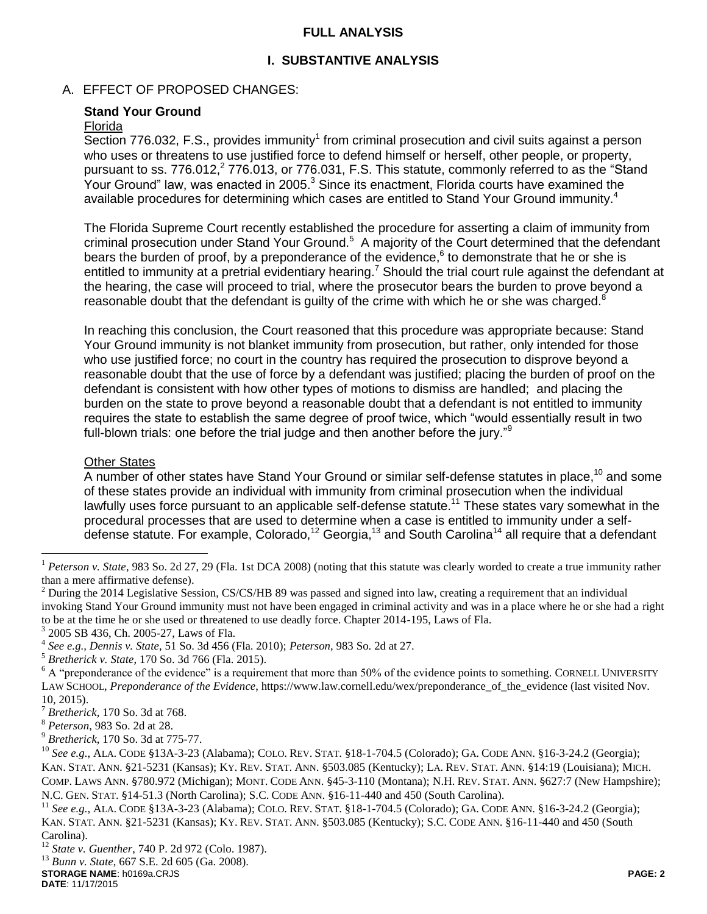## **FULL ANALYSIS**

## **I. SUBSTANTIVE ANALYSIS**

## A. EFFECT OF PROPOSED CHANGES:

## **Stand Your Ground**

#### Florida

 $\overline{\text{Section 776.032}}$ , F.S., provides immunity<sup>1</sup> from criminal prosecution and civil suits against a person who uses or threatens to use justified force to defend himself or herself, other people, or property, pursuant to ss. 776.012, $2$  776.013, or 776.031, F.S. This statute, commonly referred to as the "Stand Your Ground" law, was enacted in 2005. $3$  Since its enactment, Florida courts have examined the available procedures for determining which cases are entitled to Stand Your Ground immunity.<sup>4</sup>

The Florida Supreme Court recently established the procedure for asserting a claim of immunity from criminal prosecution under Stand Your Ground.<sup>5</sup> A majority of the Court determined that the defendant bears the burden of proof, by a preponderance of the evidence, $6$  to demonstrate that he or she is entitled to immunity at a pretrial evidentiary hearing.<sup>7</sup> Should the trial court rule against the defendant at the hearing, the case will proceed to trial, where the prosecutor bears the burden to prove beyond a reasonable doubt that the defendant is quilty of the crime with which he or she was charged. $\delta$ 

In reaching this conclusion, the Court reasoned that this procedure was appropriate because: Stand Your Ground immunity is not blanket immunity from prosecution, but rather, only intended for those who use justified force; no court in the country has required the prosecution to disprove beyond a reasonable doubt that the use of force by a defendant was justified; placing the burden of proof on the defendant is consistent with how other types of motions to dismiss are handled; and placing the burden on the state to prove beyond a reasonable doubt that a defendant is not entitled to immunity requires the state to establish the same degree of proof twice, which "would essentially result in two full-blown trials: one before the trial judge and then another before the jury."<sup>9</sup>

#### Other States

 $\overline{a}$ 

A number of other states have Stand Your Ground or similar self-defense statutes in place,<sup>10</sup> and some of these states provide an individual with immunity from criminal prosecution when the individual lawfully uses force pursuant to an applicable self-defense statute.<sup>11</sup> These states vary somewhat in the procedural processes that are used to determine when a case is entitled to immunity under a selfdefense statute. For example, Colorado,<sup>12</sup> Georgia,<sup>13</sup> and South Carolina<sup>14</sup> all require that a defendant

<sup>9</sup> *Bretherick*, 170 So. 3d at 775-77.

**STORAGE NAME**: h0169a.CRJS **PAGE: 2 DATE**: 11/17/2015

<sup>&</sup>lt;sup>1</sup> *Peterson v. State*, 983 So. 2d 27, 29 (Fla. 1st DCA 2008) (noting that this statute was clearly worded to create a true immunity rather than a mere affirmative defense).

 $2$  During the 2014 Legislative Session, CS/CS/HB 89 was passed and signed into law, creating a requirement that an individual invoking Stand Your Ground immunity must not have been engaged in criminal activity and was in a place where he or she had a right to be at the time he or she used or threatened to use deadly force. Chapter 2014-195, Laws of Fla.

<sup>3</sup> 2005 SB 436, Ch. 2005-27, Laws of Fla.

<sup>4</sup> *See e.g., Dennis v. State*, 51 So. 3d 456 (Fla. 2010); *Peterson*, 983 So. 2d at 27.

<sup>5</sup> *Bretherick v. State*, 170 So. 3d 766 (Fla. 2015).

 $6$  A "preponderance of the evidence" is a requirement that more than 50% of the evidence points to something. CORNELL UNIVERSITY LAW SCHOOL, *Preponderance of the Evidence*, https://www.law.cornell.edu/wex/preponderance\_of\_the\_evidence (last visited Nov. 10, 2015).

<sup>7</sup> *Bretherick*, 170 So. 3d at 768.

<sup>8</sup> *Peterson*, 983 So. 2d at 28.

<sup>10</sup> *See e.g.*, ALA. CODE §13A-3-23 (Alabama); COLO. REV. STAT. §18-1-704.5 (Colorado); GA. CODE ANN. §16-3-24.2 (Georgia); KAN. STAT. ANN. §21-5231 (Kansas); KY. REV. STAT. ANN. §503.085 (Kentucky); LA. REV. STAT. ANN. §14:19 (Louisiana); MICH. COMP. LAWS ANN. §780.972 (Michigan); MONT. CODE ANN. §45-3-110 (Montana); N.H. REV. STAT. ANN. §627:7 (New Hampshire); N.C. GEN. STAT. §14-51.3 (North Carolina); S.C. CODE ANN. §16-11-440 and 450 (South Carolina).

<sup>11</sup> *See e.g.*, ALA. CODE §13A-3-23 (Alabama); COLO. REV. STAT. §18-1-704.5 (Colorado); GA. CODE ANN. §16-3-24.2 (Georgia); KAN. STAT. ANN. §21-5231 (Kansas); KY. REV. STAT. ANN. §503.085 (Kentucky); S.C. CODE ANN. §16-11-440 and 450 (South Carolina).

<sup>12</sup> *State v. Guenther*, 740 P. 2d 972 (Colo. 1987).

<sup>13</sup> *Bunn v. State*, 667 S.E. 2d 605 (Ga. 2008).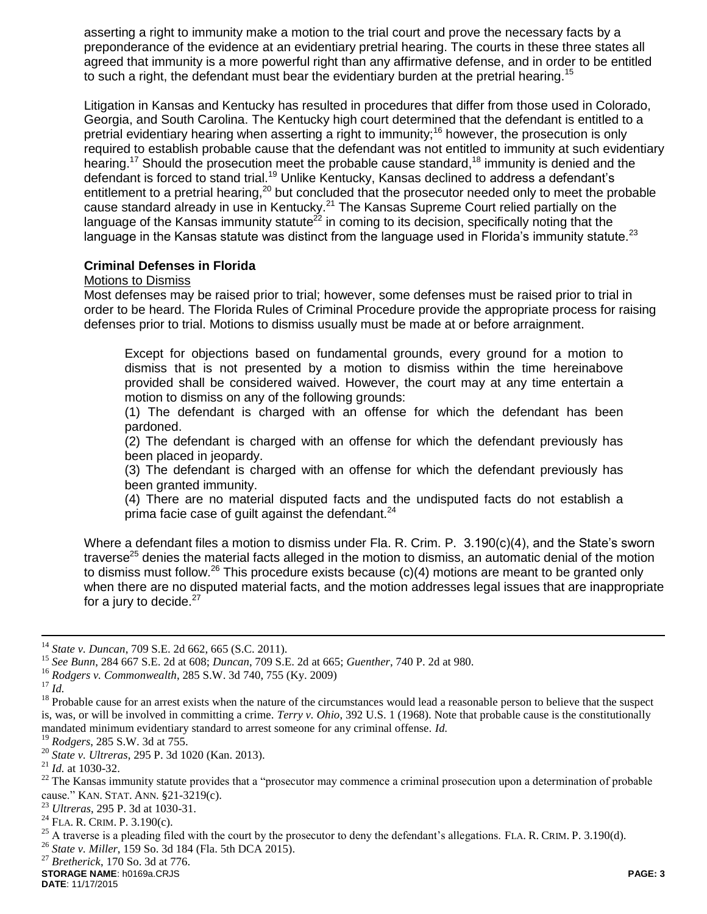asserting a right to immunity make a motion to the trial court and prove the necessary facts by a preponderance of the evidence at an evidentiary pretrial hearing. The courts in these three states all agreed that immunity is a more powerful right than any affirmative defense, and in order to be entitled to such a right, the defendant must bear the evidentiary burden at the pretrial hearing.<sup>15</sup>

Litigation in Kansas and Kentucky has resulted in procedures that differ from those used in Colorado, Georgia, and South Carolina. The Kentucky high court determined that the defendant is entitled to a pretrial evidentiary hearing when asserting a right to immunity;<sup>16</sup> however, the prosecution is only required to establish probable cause that the defendant was not entitled to immunity at such evidentiary hearing.<sup>17</sup> Should the prosecution meet the probable cause standard,<sup>18</sup> immunity is denied and the defendant is forced to stand trial.<sup>19</sup> Unlike Kentucky, Kansas declined to address a defendant's entitlement to a pretrial hearing,<sup>20</sup> but concluded that the prosecutor needed only to meet the probable cause standard already in use in Kentucky.<sup>21</sup> The Kansas Supreme Court relied partially on the language of the Kansas immunity statute<sup>22</sup> in coming to its decision, specifically noting that the language in the Kansas statute was distinct from the language used in Florida's immunity statute.<sup>23</sup>

## **Criminal Defenses in Florida**

#### Motions to Dismiss

Most defenses may be raised prior to trial; however, some defenses must be raised prior to trial in order to be heard. The Florida Rules of Criminal Procedure provide the appropriate process for raising defenses prior to trial. Motions to dismiss usually must be made at or before arraignment.

Except for objections based on fundamental grounds, every ground for a motion to dismiss that is not presented by a motion to dismiss within the time hereinabove provided shall be considered waived. However, the court may at any time entertain a motion to dismiss on any of the following grounds:

(1) The defendant is charged with an offense for which the defendant has been pardoned.

(2) The defendant is charged with an offense for which the defendant previously has been placed in jeopardy.

(3) The defendant is charged with an offense for which the defendant previously has been granted immunity.

(4) There are no material disputed facts and the undisputed facts do not establish a prima facie case of quilt against the defendant. $24$ 

Where a defendant files a motion to dismiss under Fla. R. Crim. P. 3.190(c)(4), and the State's sworn traverse<sup>25</sup> denies the material facts alleged in the motion to dismiss, an automatic denial of the motion to dismiss must follow.<sup>26</sup> This procedure exists because  $(c)(4)$  motions are meant to be granted only when there are no disputed material facts, and the motion addresses legal issues that are inappropriate for a jury to decide. $27$ 

 $\overline{a}$ 

**STORAGE NAME**: h0169a.CRJS **PAGE: 3 DATE**: 11/17/2015

<sup>14</sup> *State v. Duncan*, 709 S.E. 2d 662, 665 (S.C. 2011).

<sup>15</sup> *See Bunn*, 284 667 S.E. 2d at 608; *Duncan*, 709 S.E. 2d at 665; *Guenther*, 740 P. 2d at 980.

<sup>16</sup> *Rodgers v. Commonwealth*, 285 S.W. 3d 740, 755 (Ky. 2009)

<sup>17</sup> *Id.*

<sup>&</sup>lt;sup>18</sup> Probable cause for an arrest exists when the nature of the circumstances would lead a reasonable person to believe that the suspect is, was, or will be involved in committing a crime. *Terry v. Ohio*, 392 U.S. 1 (1968). Note that probable cause is the constitutionally mandated minimum evidentiary standard to arrest someone for any criminal offense. *Id.* <sup>19</sup> B ideas 2.25 S W 2.4 at 755

<sup>19</sup> *Rodgers*, 285 S.W. 3d at 755.

<sup>20</sup> *State v. Ultreras*, 295 P. 3d 1020 (Kan. 2013).

<sup>21</sup> *Id.* at 1030-32.

<sup>&</sup>lt;sup>22</sup> The Kansas immunity statute provides that a "prosecutor may commence a criminal prosecution upon a determination of probable cause." KAN. STAT. ANN. §21-3219(c).

<sup>23</sup> *Ultreras*, 295 P. 3d at 1030-31.

<sup>24</sup> FLA. R. CRIM. P. 3.190(c).

<sup>&</sup>lt;sup>25</sup> A traverse is a pleading filed with the court by the prosecutor to deny the defendant's allegations. FLA. R. CRIM. P. 3.190(d).

<sup>26</sup> *State v. Miller*, 159 So. 3d 184 (Fla. 5th DCA 2015).

<sup>27</sup> *Bretherick*, 170 So. 3d at 776.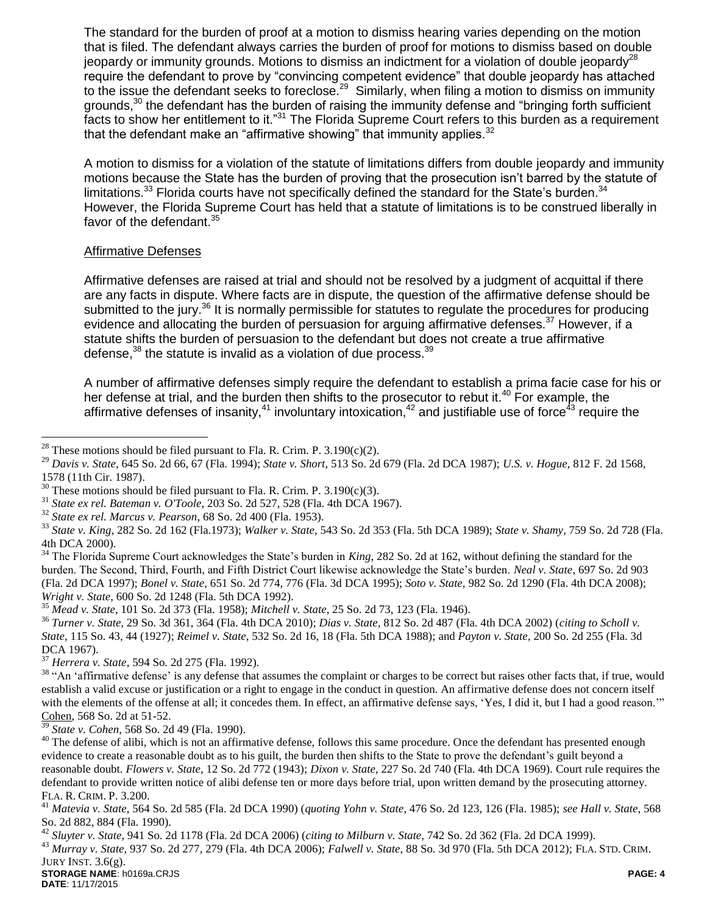The standard for the burden of proof at a motion to dismiss hearing varies depending on the motion that is filed. The defendant always carries the burden of proof for motions to dismiss based on double jeopardy or immunity grounds. Motions to dismiss an indictment for a violation of double jeopardy<sup>28</sup> require the defendant to prove by "convincing competent evidence" that double jeopardy has attached to the issue the defendant seeks to foreclose.<sup>29</sup> Similarly, when filing a motion to dismiss on immunity grounds, $30$  the defendant has the burden of raising the immunity defense and "bringing forth sufficient facts to show her entitlement to it."<sup>31</sup> The Florida Supreme Court refers to this burden as a requirement that the defendant make an "affirmative showing" that immunity applies.<sup>32</sup>

A motion to dismiss for a violation of the statute of limitations differs from double jeopardy and immunity motions because the State has the burden of proving that the prosecution isn't barred by the statute of limitations.<sup>33</sup> Florida courts have not specifically defined the standard for the State's burden.<sup>34</sup> However, the Florida Supreme Court has held that a statute of limitations is to be construed liberally in favor of the defendant.<sup>35</sup>

## Affirmative Defenses

 $\overline{a}$ 

Affirmative defenses are raised at trial and should not be resolved by a judgment of acquittal if there are any facts in dispute. Where facts are in dispute, the question of the affirmative defense should be submitted to the jury.<sup>36</sup> It is normally permissible for statutes to regulate the procedures for producing evidence and allocating the burden of persuasion for arguing affirmative defenses.<sup>37</sup> However, if a statute shifts the burden of persuasion to the defendant but does not create a true affirmative defense, $38$  the statute is invalid as a violation of due process.  $39$ 

A number of affirmative defenses simply require the defendant to establish a prima facie case for his or her defense at trial, and the burden then shifts to the prosecutor to rebut it.<sup>40</sup> For example, the affirmative defenses of insanity,<sup>41</sup> involuntary intoxication,<sup>42</sup> and justifiable use of force<sup>43</sup> require the

<sup>34</sup> The Florida Supreme Court acknowledges the State's burden in *King*, 282 So. 2d at 162, without defining the standard for the burden. The Second, Third, Fourth, and Fifth District Court likewise acknowledge the State's burden. *Neal v. State*, 697 So. 2d 903 (Fla. 2d DCA 1997); *Bonel v. State*, 651 So. 2d 774, 776 (Fla. 3d DCA 1995); *Soto v. State*, 982 So. 2d 1290 (Fla. 4th DCA 2008); *Wright v. State*, 600 So. 2d 1248 (Fla. 5th DCA 1992).

<sup>35</sup> *Mead v. State*, 101 So. 2d 373 (Fla. 1958); *Mitchell v. State*, 25 So. 2d 73, 123 (Fla. 1946).

<sup>36</sup> *Turner v. State*, 29 So. 3d 361, 364 (Fla. 4th DCA 2010); *Dias v. State*, 812 So. 2d 487 (Fla. 4th DCA 2002) (*citing to Scholl v. State*, 115 So. 43, 44 (1927); *Reimel v. State*, 532 So. 2d 16, 18 (Fla. 5th DCA 1988); and *Payton v. State*, 200 So. 2d 255 (Fla. 3d DCA 1967).

<sup>37</sup> *Herrera v. State*, 594 So. 2d 275 (Fla. 1992).

<sup>38</sup> "An 'affirmative defense' is any defense that assumes the complaint or charges to be correct but raises other facts that, if true, would establish a valid excuse or justification or a right to engage in the conduct in question. An affirmative defense does not concern itself with the elements of the offense at all; it concedes them. In effect, an affirmative defense says, 'Yes, I did it, but I had a good reason.'" Cohen, 568 So. 2d at 51-52.

<sup>39</sup> *State v. Cohen*, 568 So. 2d 49 (Fla. 1990).

<sup>40</sup> The defense of alibi, which is not an affirmative defense, follows this same procedure. Once the defendant has presented enough evidence to create a reasonable doubt as to his guilt, the burden then shifts to the State to prove the defendant's guilt beyond a reasonable doubt. *Flowers v. State*, 12 So. 2d 772 (1943); *Dixon v. State*, 227 So. 2d 740 (Fla. 4th DCA 1969). Court rule requires the defendant to provide written notice of alibi defense ten or more days before trial, upon written demand by the prosecuting attorney. FLA. R. CRIM. P. 3.200.

<sup>42</sup> *Sluyter v. State*, 941 So. 2d 1178 (Fla. 2d DCA 2006) (*citing to Milburn v. State*, 742 So. 2d 362 (Fla. 2d DCA 1999).

<sup>43</sup> *Murray v. State*, 937 So. 2d 277, 279 (Fla. 4th DCA 2006); *Falwell v. State*, 88 So. 3d 970 (Fla. 5th DCA 2012); FLA. STD. CRIM. JURY INST. 3.6(g).

<sup>&</sup>lt;sup>28</sup> These motions should be filed pursuant to Fla. R. Crim. P.  $3.190(c)(2)$ .

<sup>29</sup> *Davis v. State*, 645 So. 2d 66, 67 (Fla. 1994); *State v. Short*, 513 So. 2d 679 (Fla. 2d DCA 1987); *U.S. v. Hogue*, 812 F. 2d 1568, 1578 (11th Cir. 1987).

 $30$  These motions should be filed pursuant to Fla. R. Crim. P. 3.190(c)(3).

<sup>31</sup> *State ex rel. Bateman v. O'Toole*, 203 So. 2d 527, 528 (Fla. 4th DCA 1967).

<sup>32</sup> *State ex rel. Marcus v. Pearson*, 68 So. 2d 400 (Fla. 1953).

<sup>33</sup> *State v. King*, 282 So. 2d 162 (Fla.1973); *Walker v. State*, 543 So. 2d 353 (Fla. 5th DCA 1989); *State v. Shamy*, 759 So. 2d 728 (Fla. 4th DCA 2000).

<sup>41</sup> *Matevia v. State*, 564 So. 2d 585 (Fla. 2d DCA 1990) (*quoting Yohn v. State*, 476 So. 2d 123, 126 (Fla. 1985); *see Hall v. State*, 568 So. 2d 882, 884 (Fla. 1990).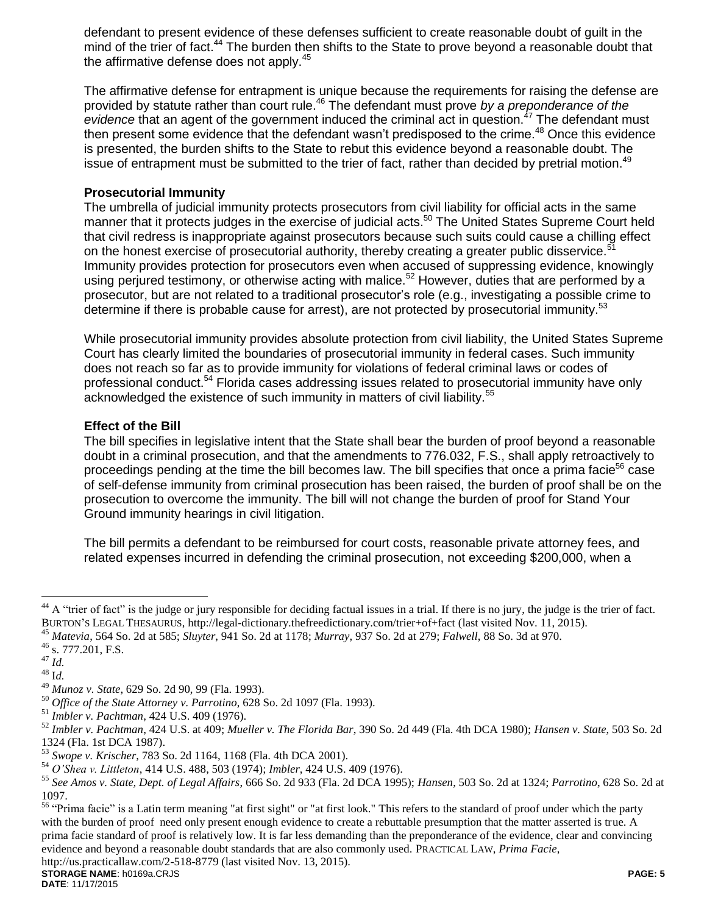defendant to present evidence of these defenses sufficient to create reasonable doubt of guilt in the mind of the trier of fact.<sup>44</sup> The burden then shifts to the State to prove beyond a reasonable doubt that the affirmative defense does not apply.<sup>45</sup>

The affirmative defense for entrapment is unique because the requirements for raising the defense are provided by statute rather than court rule.<sup>46</sup> The defendant must prove *by a preponderance of the*  evidence that an agent of the government induced the criminal act in question.<sup>47</sup> The defendant must then present some evidence that the defendant wasn't predisposed to the crime.<sup>48</sup> Once this evidence is presented, the burden shifts to the State to rebut this evidence beyond a reasonable doubt. The issue of entrapment must be submitted to the trier of fact, rather than decided by pretrial motion.<sup>49</sup>

## **Prosecutorial Immunity**

The umbrella of judicial immunity protects prosecutors from civil liability for official acts in the same manner that it protects judges in the exercise of judicial acts.<sup>50</sup> The United States Supreme Court held that civil redress is inappropriate against prosecutors because such suits could cause a chilling effect on the honest exercise of prosecutorial authority, thereby creating a greater public disservice.<sup>5</sup> Immunity provides protection for prosecutors even when accused of suppressing evidence, knowingly using perjured testimony, or otherwise acting with malice.<sup>52</sup> However, duties that are performed by a prosecutor, but are not related to a traditional prosecutor's role (e.g., investigating a possible crime to determine if there is probable cause for arrest), are not protected by prosecutorial immunity.<sup>53</sup>

While prosecutorial immunity provides absolute protection from civil liability, the United States Supreme Court has clearly limited the boundaries of prosecutorial immunity in federal cases. Such immunity does not reach so far as to provide immunity for violations of federal criminal laws or codes of professional conduct.<sup>54</sup> Florida cases addressing issues related to prosecutorial immunity have only acknowledged the existence of such immunity in matters of civil liability.<sup>55</sup>

## **Effect of the Bill**

The bill specifies in legislative intent that the State shall bear the burden of proof beyond a reasonable doubt in a criminal prosecution, and that the amendments to 776.032, F.S., shall apply retroactively to proceedings pending at the time the bill becomes law. The bill specifies that once a prima facie<sup>56</sup> case of self-defense immunity from criminal prosecution has been raised, the burden of proof shall be on the prosecution to overcome the immunity. The bill will not change the burden of proof for Stand Your Ground immunity hearings in civil litigation.

The bill permits a defendant to be reimbursed for court costs, reasonable private attorney fees, and related expenses incurred in defending the criminal prosecution, not exceeding \$200,000, when a

 $\overline{a}$ 

<sup>&</sup>lt;sup>44</sup> A "trier of fact" is the judge or jury responsible for deciding factual issues in a trial. If there is no jury, the judge is the trier of fact. BURTON'S LEGAL THESAURUS, http://legal-dictionary.thefreedictionary.com/trier+of+fact (last visited Nov. 11, 2015).

<sup>45</sup> *Matevia*, 564 So. 2d at 585; *Sluyter*, 941 So. 2d at 1178; *Murray*, 937 So. 2d at 279; *Falwell*, 88 So. 3d at 970.

 $^{46}$  s. 777.201, F.S.

 $^{47}$  *Id.*  $48 \overline{1}d.$ 

<sup>49</sup> *Munoz v. State*, 629 So. 2d 90, 99 (Fla. 1993).

<sup>50</sup> *Office of the State Attorney v. Parrotino*, 628 So. 2d 1097 (Fla. 1993).

<sup>51</sup> *Imbler v. Pachtman*, 424 U.S. 409 (1976).

<sup>52</sup> *Imbler v. Pachtman*, 424 U.S. at 409; *Mueller v. The Florida Bar*, 390 So. 2d 449 (Fla. 4th DCA 1980); *Hansen v. State*, 503 So. 2d 1324 (Fla. 1st DCA 1987).

<sup>53</sup> *Swope v. Krischer*, 783 So. 2d 1164, 1168 (Fla. 4th DCA 2001).

<sup>54</sup> *O'Shea v. Littleton*, 414 U.S. 488, 503 (1974); *Imbler*, 424 U.S. 409 (1976).

<sup>55</sup> *See Amos v. State, Dept. of Legal Affairs*, 666 So. 2d 933 (Fla. 2d DCA 1995); *Hansen*, 503 So. 2d at 1324; *Parrotino*, 628 So. 2d at 1097.

<sup>&</sup>lt;sup>56</sup> "Prima facie" is a Latin term meaning "at first sight" or "at first look." This refers to the standard of proof under which the party with the burden of proof need only present enough evidence to create a rebuttable presumption that the matter asserted is true. A prima facie standard of proof is relatively low. It is far less demanding than the preponderance of the evidence, clear and convincing evidence and beyond a reasonable doubt standards that are also commonly used. PRACTICAL LAW, *Prima Facie*,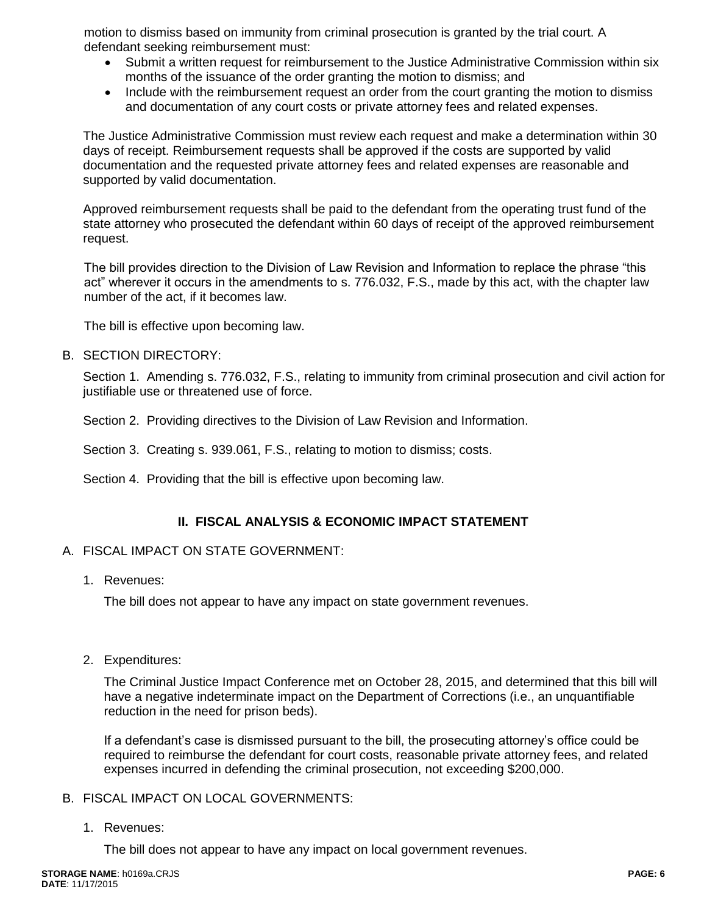motion to dismiss based on immunity from criminal prosecution is granted by the trial court. A defendant seeking reimbursement must:

- Submit a written request for reimbursement to the Justice Administrative Commission within six months of the issuance of the order granting the motion to dismiss; and
- Include with the reimbursement request an order from the court granting the motion to dismiss and documentation of any court costs or private attorney fees and related expenses.

The Justice Administrative Commission must review each request and make a determination within 30 days of receipt. Reimbursement requests shall be approved if the costs are supported by valid documentation and the requested private attorney fees and related expenses are reasonable and supported by valid documentation.

Approved reimbursement requests shall be paid to the defendant from the operating trust fund of the state attorney who prosecuted the defendant within 60 days of receipt of the approved reimbursement request.

The bill provides direction to the Division of Law Revision and Information to replace the phrase "this act" wherever it occurs in the amendments to s. 776.032, F.S., made by this act, with the chapter law number of the act, if it becomes law.

The bill is effective upon becoming law.

B. SECTION DIRECTORY:

Section 1. Amending s. 776.032, F.S., relating to immunity from criminal prosecution and civil action for justifiable use or threatened use of force.

Section 2. Providing directives to the Division of Law Revision and Information.

Section 3. Creating s. 939.061, F.S., relating to motion to dismiss; costs.

Section 4. Providing that the bill is effective upon becoming law.

## **II. FISCAL ANALYSIS & ECONOMIC IMPACT STATEMENT**

## A. FISCAL IMPACT ON STATE GOVERNMENT:

1. Revenues:

The bill does not appear to have any impact on state government revenues.

2. Expenditures:

The Criminal Justice Impact Conference met on October 28, 2015, and determined that this bill will have a negative indeterminate impact on the Department of Corrections (i.e., an unquantifiable reduction in the need for prison beds).

If a defendant's case is dismissed pursuant to the bill, the prosecuting attorney's office could be required to reimburse the defendant for court costs, reasonable private attorney fees, and related expenses incurred in defending the criminal prosecution, not exceeding \$200,000.

#### B. FISCAL IMPACT ON LOCAL GOVERNMENTS:

1. Revenues:

The bill does not appear to have any impact on local government revenues.